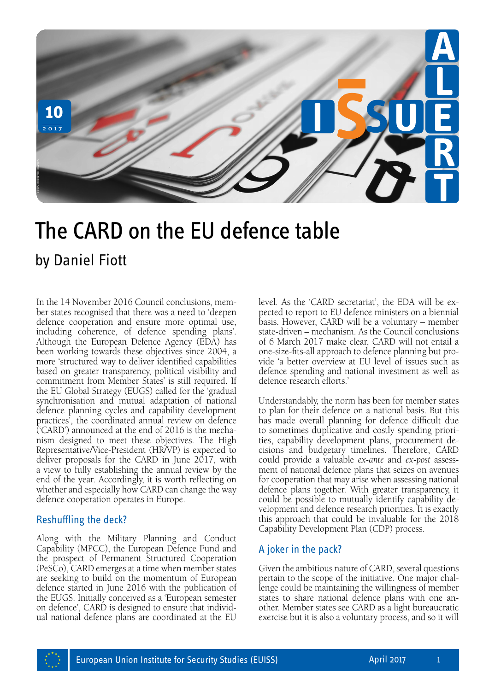

# The CARD on the EU defence table

In the 14 November 2016 Council conclusions, member states recognised that there was a need to 'deepen defence cooperation and ensure more optimal use, including coherence, of defence spending plans'. Although the European Defence Agency (EDA) has been working towards these objectives since 2004, a more 'structured way to deliver identified capabilities based on greater transparency, political visibility and commitment from Member States' is still required. If the EU Global Strategy (EUGS) called for the 'gradual synchronisation and mutual adaptation of national defence planning cycles and capability development practices', the coordinated annual review on defence ('CARD') announced at the end of 2016 is the mechanism designed to meet these objectives. The High Representative/Vice-President (HR/VP) is expected to deliver proposals for the CARD in June 2017, with a view to fully establishing the annual review by the end of the year. Accordingly, it is worth reflecting on whether and especially how CARD can change the way defence cooperation operates in Europe.

## Reshuffling the deck?

Along with the Military Planning and Conduct Capability (MPCC), the European Defence Fund and the prospect of Permanent Structured Cooperation (PeSCo), CARD emerges at a time when member states are seeking to build on the momentum of European defence started in June 2016 with the publication of the EUGS. Initially conceived as a 'European semester on defence', CARD is designed to ensure that individual national defence plans are coordinated at the EU

level. As the 'CARD secretariat', the EDA will be expected to report to EU defence ministers on a biennial basis. However, CARD will be a voluntary – member state-driven – mechanism. As the Council conclusions of 6 March 2017 make clear, CARD will not entail a one-size-fits-all approach to defence planning but provide 'a better overview at EU level of issues such as defence spending and national investment as well as defence research efforts.'

Understandably, the norm has been for member states to plan for their defence on a national basis. But this has made overall planning for defence difficult due to sometimes duplicative and costly spending priorities, capability development plans, procurement decisions and budgetary timelines. Therefore, CARD could provide a valuable *ex-ante* and *ex-post* assessment of national defence plans that seizes on avenues for cooperation that may arise when assessing national defence plans together. With greater transparency, it could be possible to mutually identify capability development and defence research priorities. It is exactly this approach that could be invaluable for the 2018 Capability Development Plan (CDP) process.

## A joker in the pack?

Given the ambitious nature of CARD, several questions pertain to the scope of the initiative. One major challenge could be maintaining the willingness of member states to share national defence plans with one another. Member states see CARD as a light bureaucratic exercise but it is also a voluntary process, and so it will